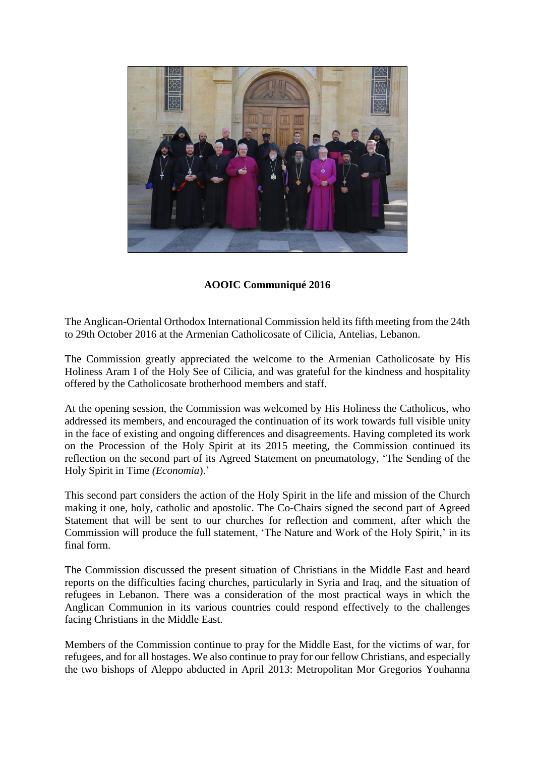

**AOOIC Communiqué 2016**

The Anglican-Oriental Orthodox International Commission held its fifth meeting from the 24th to 29th October 2016 at the Armenian Catholicosate of Cilicia, Antelias, Lebanon.

The Commission greatly appreciated the welcome to the Armenian Catholicosate by His Holiness Aram I of the Holy See of Cilicia, and was grateful for the kindness and hospitality offered by the Catholicosate brotherhood members and staff.

At the opening session, the Commission was welcomed by His Holiness the Catholicos, who addressed its members, and encouraged the continuation of its work towards full visible unity in the face of existing and ongoing differences and disagreements. Having completed its work on the Procession of the Holy Spirit at its 2015 meeting, the Commission continued its reflection on the second part of its Agreed Statement on pneumatology, 'The Sending of the Holy Spirit in Time *(Economia*).'

This second part considers the action of the Holy Spirit in the life and mission of the Church making it one, holy, catholic and apostolic. The Co-Chairs signed the second part of Agreed Statement that will be sent to our churches for reflection and comment, after which the Commission will produce the full statement, 'The Nature and Work of the Holy Spirit,' in its final form.

The Commission discussed the present situation of Christians in the Middle East and heard reports on the difficulties facing churches, particularly in Syria and Iraq, and the situation of refugees in Lebanon. There was a consideration of the most practical ways in which the Anglican Communion in its various countries could respond effectively to the challenges facing Christians in the Middle East.

Members of the Commission continue to pray for the Middle East, for the victims of war, for refugees, and for all hostages. We also continue to pray for our fellow Christians, and especially the two bishops of Aleppo abducted in April 2013: Metropolitan Mor Gregorios Youhanna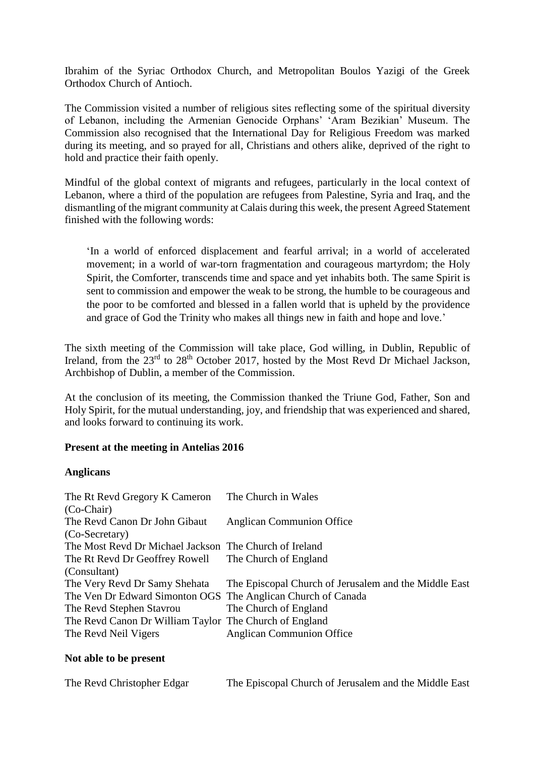Ibrahim of the Syriac Orthodox Church, and Metropolitan Boulos Yazigi of the Greek Orthodox Church of Antioch.

The Commission visited a number of religious sites reflecting some of the spiritual diversity of Lebanon, including the Armenian Genocide Orphans' 'Aram Bezikian' Museum. The Commission also recognised that the International Day for Religious Freedom was marked during its meeting, and so prayed for all, Christians and others alike, deprived of the right to hold and practice their faith openly.

Mindful of the global context of migrants and refugees, particularly in the local context of Lebanon, where a third of the population are refugees from Palestine, Syria and Iraq, and the dismantling of the migrant community at Calais during this week, the present Agreed Statement finished with the following words:

'In a world of enforced displacement and fearful arrival; in a world of accelerated movement; in a world of war-torn fragmentation and courageous martyrdom; the Holy Spirit, the Comforter, transcends time and space and yet inhabits both. The same Spirit is sent to commission and empower the weak to be strong, the humble to be courageous and the poor to be comforted and blessed in a fallen world that is upheld by the providence and grace of God the Trinity who makes all things new in faith and hope and love.'

The sixth meeting of the Commission will take place, God willing, in Dublin, Republic of Ireland, from the 23<sup>rd</sup> to 28<sup>th</sup> October 2017, hosted by the Most Revd Dr Michael Jackson, Archbishop of Dublin, a member of the Commission.

At the conclusion of its meeting, the Commission thanked the Triune God, Father, Son and Holy Spirit, for the mutual understanding, joy, and friendship that was experienced and shared, and looks forward to continuing its work.

## **Present at the meeting in Antelias 2016**

## **Anglicans**

| The Church in Wales                                          |
|--------------------------------------------------------------|
| <b>Anglican Communion Office</b>                             |
|                                                              |
| The Most Revd Dr Michael Jackson The Church of Ireland       |
| The Rt Revd Dr Geoffrey Rowell The Church of England         |
|                                                              |
| The Episcopal Church of Jerusalem and the Middle East        |
| The Ven Dr Edward Simonton OGS The Anglican Church of Canada |
| The Church of England                                        |
| The Revd Canon Dr William Taylor The Church of England       |
| <b>Anglican Communion Office</b>                             |
|                                                              |

## **Not able to be present**

| The Revd Christopher Edgar | The Episcopal Church of Jerusalem and the Middle East |
|----------------------------|-------------------------------------------------------|
|----------------------------|-------------------------------------------------------|